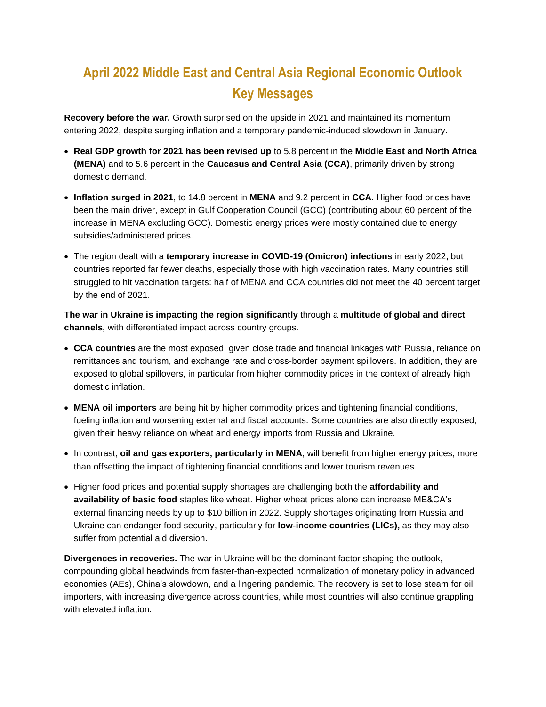## **April 2022 Middle East and Central Asia Regional Economic Outlook Key Messages**

**Recovery before the war.** Growth surprised on the upside in 2021 and maintained its momentum entering 2022, despite surging inflation and a temporary pandemic-induced slowdown in January.

- **Real GDP growth for 2021 has been revised up** to 5.8 percent in the **Middle East and North Africa (MENA)** and to 5.6 percent in the **Caucasus and Central Asia (CCA)**, primarily driven by strong domestic demand.
- **Inflation surged in 2021**, to 14.8 percent in **MENA** and 9.2 percent in **CCA**. Higher food prices have been the main driver, except in Gulf Cooperation Council (GCC) (contributing about 60 percent of the increase in MENA excluding GCC). Domestic energy prices were mostly contained due to energy subsidies/administered prices.
- The region dealt with a **temporary increase in COVID-19 (Omicron) infections** in early 2022, but countries reported far fewer deaths, especially those with high vaccination rates. Many countries still struggled to hit vaccination targets: half of MENA and CCA countries did not meet the 40 percent target by the end of 2021.

**The war in Ukraine is impacting the region significantly** through a **multitude of global and direct channels,** with differentiated impact across country groups.

- **CCA countries** are the most exposed, given close trade and financial linkages with Russia, reliance on remittances and tourism, and exchange rate and cross-border payment spillovers. In addition, they are exposed to global spillovers, in particular from higher commodity prices in the context of already high domestic inflation.
- **MENA oil importers** are being hit by higher commodity prices and tightening financial conditions, fueling inflation and worsening external and fiscal accounts. Some countries are also directly exposed, given their heavy reliance on wheat and energy imports from Russia and Ukraine.
- In contrast, **oil and gas exporters, particularly in MENA**, will benefit from higher energy prices, more than offsetting the impact of tightening financial conditions and lower tourism revenues.
- Higher food prices and potential supply shortages are challenging both the **affordability and availability of basic food** staples like wheat. Higher wheat prices alone can increase ME&CA's external financing needs by up to \$10 billion in 2022. Supply shortages originating from Russia and Ukraine can endanger food security, particularly for **low-income countries (LICs),** as they may also suffer from potential aid diversion.

**Divergences in recoveries.** The war in Ukraine will be the dominant factor shaping the outlook, compounding global headwinds from faster-than-expected normalization of monetary policy in advanced economies (AEs), China's slowdown, and a lingering pandemic. The recovery is set to lose steam for oil importers, with increasing divergence across countries, while most countries will also continue grappling with elevated inflation.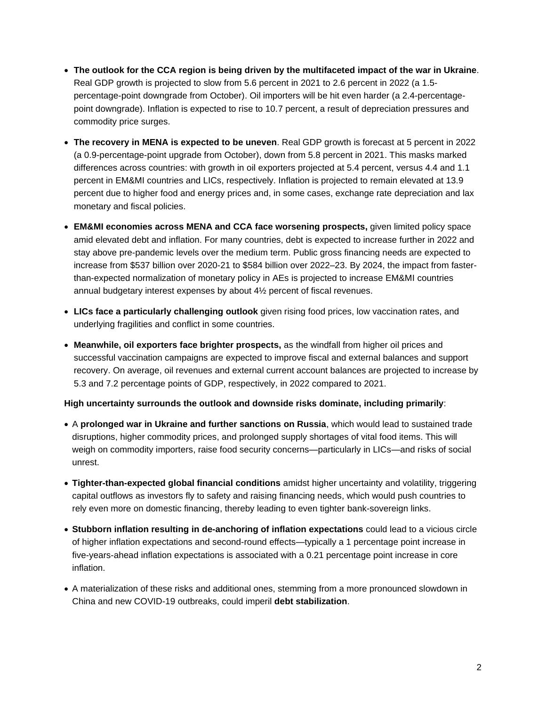- **The outlook for the CCA region is being driven by the multifaceted impact of the war in Ukraine**. Real GDP growth is projected to slow from 5.6 percent in 2021 to 2.6 percent in 2022 (a 1.5 percentage-point downgrade from October). Oil importers will be hit even harder (a 2.4-percentagepoint downgrade). Inflation is expected to rise to 10.7 percent, a result of depreciation pressures and commodity price surges.
- **The recovery in MENA is expected to be uneven**. Real GDP growth is forecast at 5 percent in 2022 (a 0.9-percentage-point upgrade from October), down from 5.8 percent in 2021. This masks marked differences across countries: with growth in oil exporters projected at 5.4 percent, versus 4.4 and 1.1 percent in EM&MI countries and LICs, respectively. Inflation is projected to remain elevated at 13.9 percent due to higher food and energy prices and, in some cases, exchange rate depreciation and lax monetary and fiscal policies.
- **EM&MI economies across MENA and CCA face worsening prospects,** given limited policy space amid elevated debt and inflation. For many countries, debt is expected to increase further in 2022 and stay above pre-pandemic levels over the medium term. Public gross financing needs are expected to increase from \$537 billion over 2020-21 to \$584 billion over 2022–23. By 2024, the impact from fasterthan-expected normalization of monetary policy in AEs is projected to increase EM&MI countries annual budgetary interest expenses by about 4½ percent of fiscal revenues.
- **LICs face a particularly challenging outlook** given rising food prices, low vaccination rates, and underlying fragilities and conflict in some countries.
- **Meanwhile, oil exporters face brighter prospects,** as the windfall from higher oil prices and successful vaccination campaigns are expected to improve fiscal and external balances and support recovery. On average, oil revenues and external current account balances are projected to increase by 5.3 and 7.2 percentage points of GDP, respectively, in 2022 compared to 2021.

## **High uncertainty surrounds the outlook and downside risks dominate, including primarily**:

- A **prolonged war in Ukraine and further sanctions on Russia**, which would lead to sustained trade disruptions, higher commodity prices, and prolonged supply shortages of vital food items. This will weigh on commodity importers, raise food security concerns—particularly in LICs—and risks of social unrest.
- **Tighter-than-expected global financial conditions** amidst higher uncertainty and volatility, triggering capital outflows as investors fly to safety and raising financing needs, which would push countries to rely even more on domestic financing, thereby leading to even tighter bank-sovereign links.
- **Stubborn inflation resulting in de-anchoring of inflation expectations** could lead to a vicious circle of higher inflation expectations and second-round effects—typically a 1 percentage point increase in five-years-ahead inflation expectations is associated with a 0.21 percentage point increase in core inflation.
- A materialization of these risks and additional ones, stemming from a more pronounced slowdown in China and new COVID-19 outbreaks, could imperil **debt stabilization**.